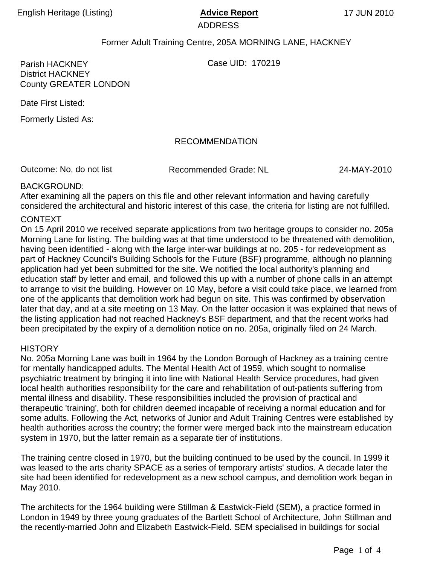ADDRESS

# Former Adult Training Centre, 205A MORNING LANE, HACKNEY

Parish HACKNEY Case UID: 170219

District HACKNEY County GREATER LONDON

Date First Listed:

Formerly Listed As:

# RECOMMENDATION

Outcome: No, do not list Recommended Grade: NL

24-MAY-2010

### BACKGROUND:

After examining all the papers on this file and other relevant information and having carefully considered the architectural and historic interest of this case, the criteria for listing are not fulfilled.

#### CONTEXT

On 15 April 2010 we received separate applications from two heritage groups to consider no. 205a Morning Lane for listing. The building was at that time understood to be threatened with demolition, having been identified - along with the large inter-war buildings at no. 205 - for redevelopment as part of Hackney Council's Building Schools for the Future (BSF) programme, although no planning application had yet been submitted for the site. We notified the local authority's planning and education staff by letter and email, and followed this up with a number of phone calls in an attempt to arrange to visit the building. However on 10 May, before a visit could take place, we learned from one of the applicants that demolition work had begun on site. This was confirmed by observation later that day, and at a site meeting on 13 May. On the latter occasion it was explained that news of the listing application had not reached Hackney's BSF department, and that the recent works had been precipitated by the expiry of a demolition notice on no. 205a, originally filed on 24 March.

### **HISTORY**

No. 205a Morning Lane was built in 1964 by the London Borough of Hackney as a training centre for mentally handicapped adults. The Mental Health Act of 1959, which sought to normalise psychiatric treatment by bringing it into line with National Health Service procedures, had given local health authorities responsibility for the care and rehabilitation of out-patients suffering from mental illness and disability. These responsibilities included the provision of practical and therapeutic 'training', both for children deemed incapable of receiving a normal education and for some adults. Following the Act, networks of Junior and Adult Training Centres were established by health authorities across the country; the former were merged back into the mainstream education system in 1970, but the latter remain as a separate tier of institutions.

The training centre closed in 1970, but the building continued to be used by the council. In 1999 it was leased to the arts charity SPACE as a series of temporary artists' studios. A decade later the site had been identified for redevelopment as a new school campus, and demolition work began in May 2010.

The architects for the 1964 building were Stillman & Eastwick-Field (SEM), a practice formed in London in 1949 by three young graduates of the Bartlett School of Architecture, John Stillman and the recently-married John and Elizabeth Eastwick-Field. SEM specialised in buildings for social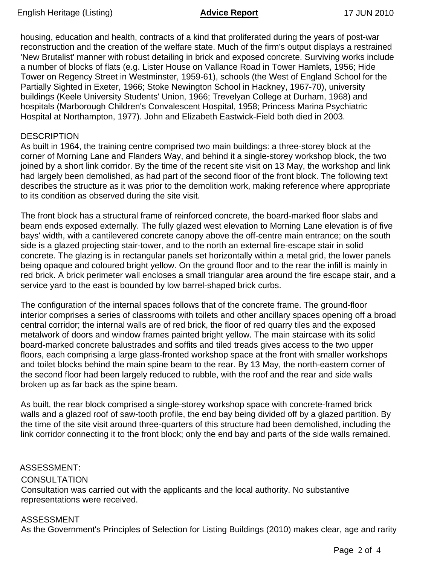housing, education and health, contracts of a kind that proliferated during the years of post-war reconstruction and the creation of the welfare state. Much of the firm's output displays a restrained 'New Brutalist' manner with robust detailing in brick and exposed concrete. Surviving works include a number of blocks of flats (e.g. Lister House on Vallance Road in Tower Hamlets, 1956; Hide Tower on Regency Street in Westminster, 1959-61), schools (the West of England School for the Partially Sighted in Exeter, 1966; Stoke Newington School in Hackney, 1967-70), university buildings (Keele University Students' Union, 1966; Trevelyan College at Durham, 1968) and hospitals (Marborough Children's Convalescent Hospital, 1958; Princess Marina Psychiatric Hospital at Northampton, 1977). John and Elizabeth Eastwick-Field both died in 2003.

### **DESCRIPTION**

As built in 1964, the training centre comprised two main buildings: a three-storey block at the corner of Morning Lane and Flanders Way, and behind it a single-storey workshop block, the two joined by a short link corridor. By the time of the recent site visit on 13 May, the workshop and link had largely been demolished, as had part of the second floor of the front block. The following text describes the structure as it was prior to the demolition work, making reference where appropriate to its condition as observed during the site visit.

The front block has a structural frame of reinforced concrete, the board-marked floor slabs and beam ends exposed externally. The fully glazed west elevation to Morning Lane elevation is of five bays' width, with a cantilevered concrete canopy above the off-centre main entrance; on the south side is a glazed projecting stair-tower, and to the north an external fire-escape stair in solid concrete. The glazing is in rectangular panels set horizontally within a metal grid, the lower panels being opaque and coloured bright yellow. On the ground floor and to the rear the infill is mainly in red brick. A brick perimeter wall encloses a small triangular area around the fire escape stair, and a service yard to the east is bounded by low barrel-shaped brick curbs.

The configuration of the internal spaces follows that of the concrete frame. The ground-floor interior comprises a series of classrooms with toilets and other ancillary spaces opening off a broad central corridor; the internal walls are of red brick, the floor of red quarry tiles and the exposed metalwork of doors and window frames painted bright yellow. The main staircase with its solid board-marked concrete balustrades and soffits and tiled treads gives access to the two upper floors, each comprising a large glass-fronted workshop space at the front with smaller workshops and toilet blocks behind the main spine beam to the rear. By 13 May, the north-eastern corner of the second floor had been largely reduced to rubble, with the roof and the rear and side walls broken up as far back as the spine beam.

As built, the rear block comprised a single-storey workshop space with concrete-framed brick walls and a glazed roof of saw-tooth profile, the end bay being divided off by a glazed partition. By the time of the site visit around three-quarters of this structure had been demolished, including the link corridor connecting it to the front block; only the end bay and parts of the side walls remained.

# **CONSULTATION** Consultation was carried out with the applicants and the local authority. No substantive representations were received. ASSESSMENT:

### ASSESSMENT

As the Government's Principles of Selection for Listing Buildings (2010) makes clear, age and rarity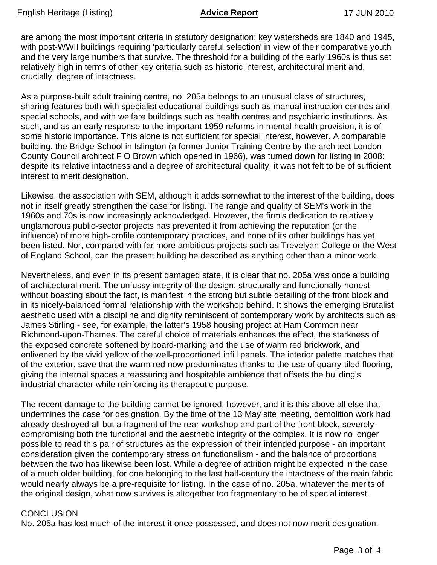are among the most important criteria in statutory designation; key watersheds are 1840 and 1945, with post-WWII buildings requiring 'particularly careful selection' in view of their comparative youth and the very large numbers that survive. The threshold for a building of the early 1960s is thus set relatively high in terms of other key criteria such as historic interest, architectural merit and, crucially, degree of intactness.

As a purpose-built adult training centre, no. 205a belongs to an unusual class of structures, sharing features both with specialist educational buildings such as manual instruction centres and special schools, and with welfare buildings such as health centres and psychiatric institutions. As such, and as an early response to the important 1959 reforms in mental health provision, it is of some historic importance. This alone is not sufficient for special interest, however. A comparable building, the Bridge School in Islington (a former Junior Training Centre by the architect London County Council architect F O Brown which opened in 1966), was turned down for listing in 2008: despite its relative intactness and a degree of architectural quality, it was not felt to be of sufficient interest to merit designation.

Likewise, the association with SEM, although it adds somewhat to the interest of the building, does not in itself greatly strengthen the case for listing. The range and quality of SEM's work in the 1960s and 70s is now increasingly acknowledged. However, the firm's dedication to relatively unglamorous public-sector projects has prevented it from achieving the reputation (or the influence) of more high-profile contemporary practices, and none of its other buildings has yet been listed. Nor, compared with far more ambitious projects such as Trevelyan College or the West of England School, can the present building be described as anything other than a minor work.

Nevertheless, and even in its present damaged state, it is clear that no. 205a was once a building of architectural merit. The unfussy integrity of the design, structurally and functionally honest without boasting about the fact, is manifest in the strong but subtle detailing of the front block and in its nicely-balanced formal relationship with the workshop behind. It shows the emerging Brutalist aesthetic used with a discipline and dignity reminiscent of contemporary work by architects such as James Stirling - see, for example, the latter's 1958 housing project at Ham Common near Richmond-upon-Thames. The careful choice of materials enhances the effect, the starkness of the exposed concrete softened by board-marking and the use of warm red brickwork, and enlivened by the vivid yellow of the well-proportioned infill panels. The interior palette matches that of the exterior, save that the warm red now predominates thanks to the use of quarry-tiled flooring, giving the internal spaces a reassuring and hospitable ambience that offsets the building's industrial character while reinforcing its therapeutic purpose.

The recent damage to the building cannot be ignored, however, and it is this above all else that undermines the case for designation. By the time of the 13 May site meeting, demolition work had already destroyed all but a fragment of the rear workshop and part of the front block, severely compromising both the functional and the aesthetic integrity of the complex. It is now no longer possible to read this pair of structures as the expression of their intended purpose - an important consideration given the contemporary stress on functionalism - and the balance of proportions between the two has likewise been lost. While a degree of attrition might be expected in the case of a much older building, for one belonging to the last half-century the intactness of the main fabric would nearly always be a pre-requisite for listing. In the case of no. 205a, whatever the merits of the original design, what now survives is altogether too fragmentary to be of special interest.

### **CONCLUSION**

No. 205a has lost much of the interest it once possessed, and does not now merit designation.